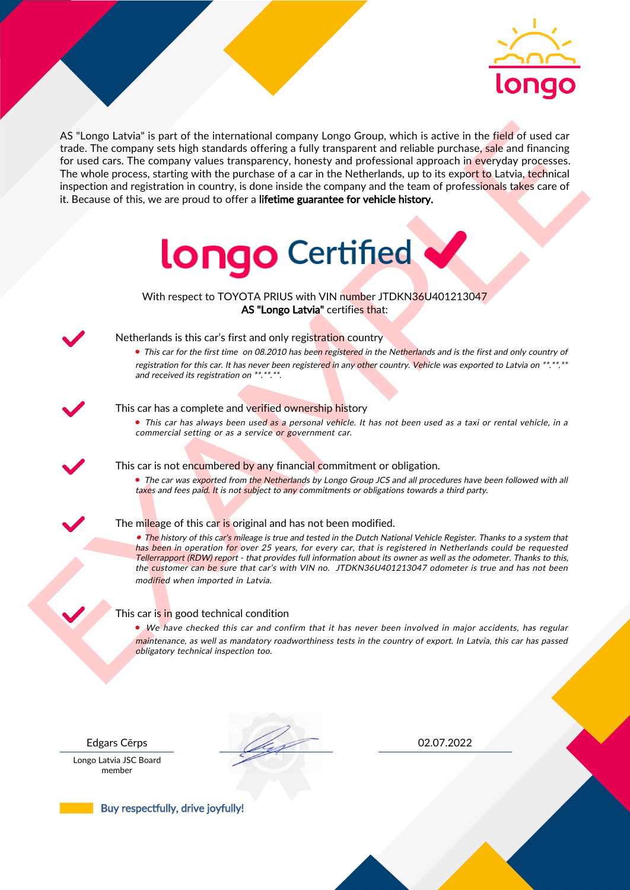

As the nearest of the intermediate computer long to Group which is active in the field of used car<br>for the field of used car for the computer summary in the set of the computer of the computer of the computer of the compu AS "Longo Latvia" is part of the international company Longo Group, which is active in the field of used car trade. The company sets high standards offering a fully transparent and reliable purchase, sale and financing for used cars. The company values transparency, honesty and professional approach in everyday processes. The whole process, starting with the purchase of a car in the Netherlands, up to its export to Latvia, technical inspection and registration in country, is done inside the company and the team of professionals takes care of it. Because of this, we are proud to offer a lifetime guarantee for vehicle history.



With respect to TOYOTA PRIUS with VIN number JTDKN36U401213047 AS "Longo Latvia" certifies that:



# Netherlands is this car's first and only registration country

• This car for the first time on 08.2010 has been registered in the Netherlands and is the first and only country of registration for this car. It has never been registered in any other country. Vehicle was exported to Latvia on \*\*.\*\*.\*\* and received its registration on \*\*.\*\*.\*\*.

### This car has a complete and verified ownership history

• This car has always been used as a personal vehicle. It has not been used as a taxi or rental vehicle, in a commercial setting or as a service or government car.

This car is not encumbered by any financial commitment or obligation.

• The car was exported from the Netherlands by Longo Group JCS and all procedures have been followed with all taxes and fees paid. It is not subject to any commitments or obligations towards a third party.

### The mileage of this car is original and has not been modified.

• The history of this car's mileage is true and tested in the Dutch National Vehicle Register. Thanks to a system that has been in operation for over 25 years, for every car, that is registered in Netherlands could be requested Tellerrapport (RDW) report - that provides full information about its owner as well as the odometer. Thanks to this, the customer can be sure that car's with VIN no. JTDKN36U401213047 odometer is true and has not been modified when imported in Latvia.

### This car is in good technical condition

• We have checked this car and confirm that it has never been involved in major accidents, has regular maintenance, as well as mandatory roadworthiness tests in the country of export. In Latvia, this car has passed obligatory technical inspection too.

Longo Latvia JSC Board member

Edgars Cērps 02.07.2022

Buy respectfully, drive joyfully!